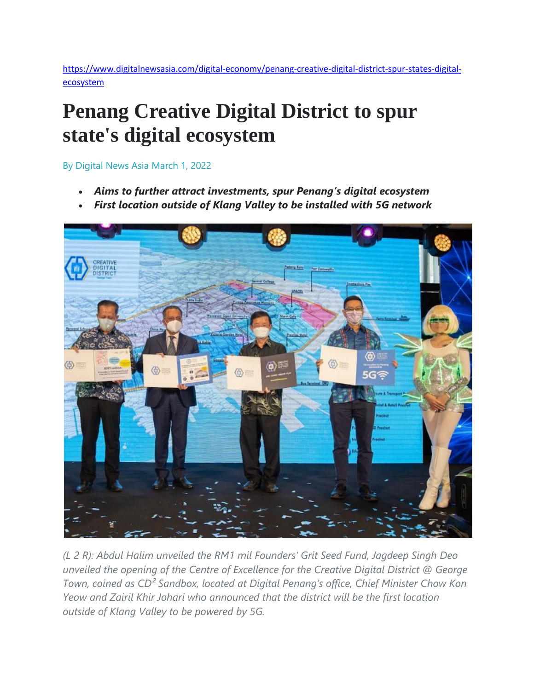[https://www.digitalnewsasia.com/digital-economy/penang-creative-digital-district-spur-states-digital](https://www.digitalnewsasia.com/digital-economy/penang-creative-digital-district-spur-states-digital-ecosystem)[ecosystem](https://www.digitalnewsasia.com/digital-economy/penang-creative-digital-district-spur-states-digital-ecosystem)

## **Penang Creative Digital District to spur state's digital ecosystem**

By Digital News Asia March 1, 2022

- *Aims to further attract investments, spur Penang's digital ecosystem*
- *First location outside of Klang Valley to be installed with 5G network*



*(L 2 R): Abdul Halim unveiled the RM1 mil Founders' Grit Seed Fund, Jagdeep Singh Deo unveiled the opening of the Centre of Excellence for the Creative Digital District @ George Town, coined as CD² Sandbox, located at Digital Penang's office, Chief Minister Chow Kon Yeow and Zairil Khir Johari who announced that the district will be the first location outside of Klang Valley to be powered by 5G.*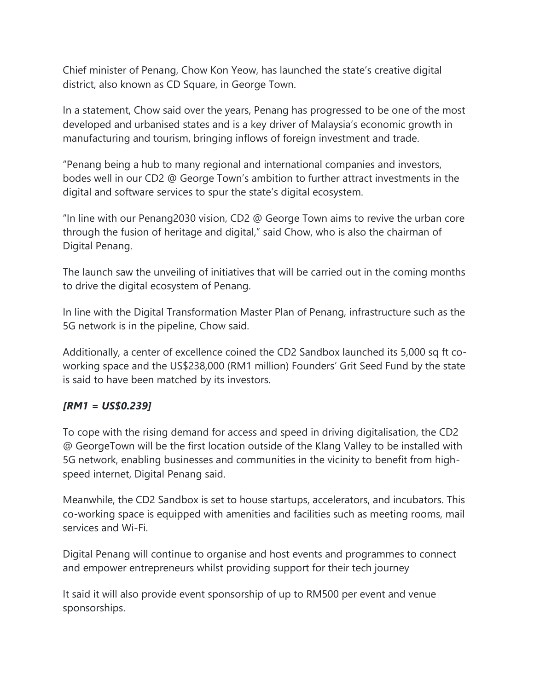Chief minister of Penang, Chow Kon Yeow, has launched the state's creative digital district, also known as CD Square, in George Town.

In a statement, Chow said over the years, Penang has progressed to be one of the most developed and urbanised states and is a key driver of Malaysia's economic growth in manufacturing and tourism, bringing inflows of foreign investment and trade.

"Penang being a hub to many regional and international companies and investors, bodes well in our CD2 @ George Town's ambition to further attract investments in the digital and software services to spur the state's digital ecosystem.

"In line with our Penang2030 vision, CD2 @ George Town aims to revive the urban core through the fusion of heritage and digital," said Chow, who is also the chairman of Digital Penang.

The launch saw the unveiling of initiatives that will be carried out in the coming months to drive the digital ecosystem of Penang.

In line with the Digital Transformation Master Plan of Penang, infrastructure such as the 5G network is in the pipeline, Chow said.

Additionally, a center of excellence coined the CD2 Sandbox launched its 5,000 sq ft coworking space and the US\$238,000 (RM1 million) Founders' Grit Seed Fund by the state is said to have been matched by its investors.

## *[RM1 = US\$0.239]*

To cope with the rising demand for access and speed in driving digitalisation, the CD2 @ GeorgeTown will be the first location outside of the Klang Valley to be installed with 5G network, enabling businesses and communities in the vicinity to benefit from highspeed internet, Digital Penang said.

Meanwhile, the CD2 Sandbox is set to house startups, accelerators, and incubators. This co-working space is equipped with amenities and facilities such as meeting rooms, mail services and Wi-Fi.

Digital Penang will continue to organise and host events and programmes to connect and empower entrepreneurs whilst providing support for their tech journey

It said it will also provide event sponsorship of up to RM500 per event and venue sponsorships.